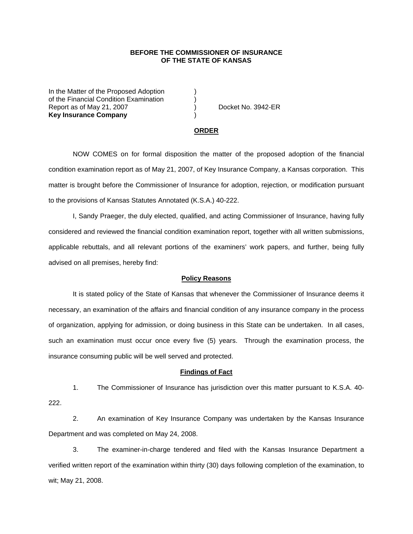## **BEFORE THE COMMISSIONER OF INSURANCE OF THE STATE OF KANSAS**

In the Matter of the Proposed Adoption of the Financial Condition Examination ) Report as of May 21, 2007 (and Contact Contact Contact Contact Contact Contact Contact Contact Contact Contact Contact Contact Contact Contact Contact Contact Contact Contact Contact Contact Contact Contact Contact Contact **Key Insurance Company** )

#### **ORDER**

 NOW COMES on for formal disposition the matter of the proposed adoption of the financial condition examination report as of May 21, 2007, of Key Insurance Company, a Kansas corporation. This matter is brought before the Commissioner of Insurance for adoption, rejection, or modification pursuant to the provisions of Kansas Statutes Annotated (K.S.A.) 40-222.

 I, Sandy Praeger, the duly elected, qualified, and acting Commissioner of Insurance, having fully considered and reviewed the financial condition examination report, together with all written submissions, applicable rebuttals, and all relevant portions of the examiners' work papers, and further, being fully advised on all premises, hereby find:

### **Policy Reasons**

 It is stated policy of the State of Kansas that whenever the Commissioner of Insurance deems it necessary, an examination of the affairs and financial condition of any insurance company in the process of organization, applying for admission, or doing business in this State can be undertaken. In all cases, such an examination must occur once every five (5) years. Through the examination process, the insurance consuming public will be well served and protected.

#### **Findings of Fact**

 1. The Commissioner of Insurance has jurisdiction over this matter pursuant to K.S.A. 40- 222.

 2. An examination of Key Insurance Company was undertaken by the Kansas Insurance Department and was completed on May 24, 2008.

 3. The examiner-in-charge tendered and filed with the Kansas Insurance Department a verified written report of the examination within thirty (30) days following completion of the examination, to wit; May 21, 2008.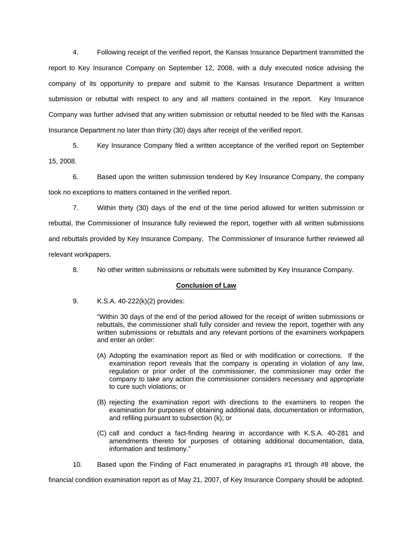4. Following receipt of the verified report, the Kansas Insurance Department transmitted the report to Key Insurance Company on September 12, 2008, with a duly executed notice advising the company of its opportunity to prepare and submit to the Kansas Insurance Department a written submission or rebuttal with respect to any and all matters contained in the report. Key Insurance Company was further advised that any written submission or rebuttal needed to be filed with the Kansas Insurance Department no later than thirty (30) days after receipt of the verified report.

 5. Key Insurance Company filed a written acceptance of the verified report on September 15, 2008.

6. Based upon the written submission tendered by Key Insurance Company, the company took no exceptions to matters contained in the verified report.

 7. Within thirty (30) days of the end of the time period allowed for written submission or rebuttal, the Commissioner of Insurance fully reviewed the report, together with all written submissions and rebuttals provided by Key Insurance Company. The Commissioner of Insurance further reviewed all relevant workpapers.

8. No other written submissions or rebuttals were submitted by Key Insurance Company.

# **Conclusion of Law**

9. K.S.A. 40-222(k)(2) provides:

"Within 30 days of the end of the period allowed for the receipt of written submissions or rebuttals, the commissioner shall fully consider and review the report, together with any written submissions or rebuttals and any relevant portions of the examiners workpapers and enter an order:

- (A) Adopting the examination report as filed or with modification or corrections. If the examination report reveals that the company is operating in violation of any law, regulation or prior order of the commissioner, the commissioner may order the company to take any action the commissioner considers necessary and appropriate to cure such violations; or
- (B) rejecting the examination report with directions to the examiners to reopen the examination for purposes of obtaining additional data, documentation or information, and refiling pursuant to subsection (k); or
- (C) call and conduct a fact-finding hearing in accordance with K.S.A. 40-281 and amendments thereto for purposes of obtaining additional documentation, data, information and testimony."

10. Based upon the Finding of Fact enumerated in paragraphs #1 through #8 above, the

financial condition examination report as of May 21, 2007, of Key Insurance Company should be adopted.